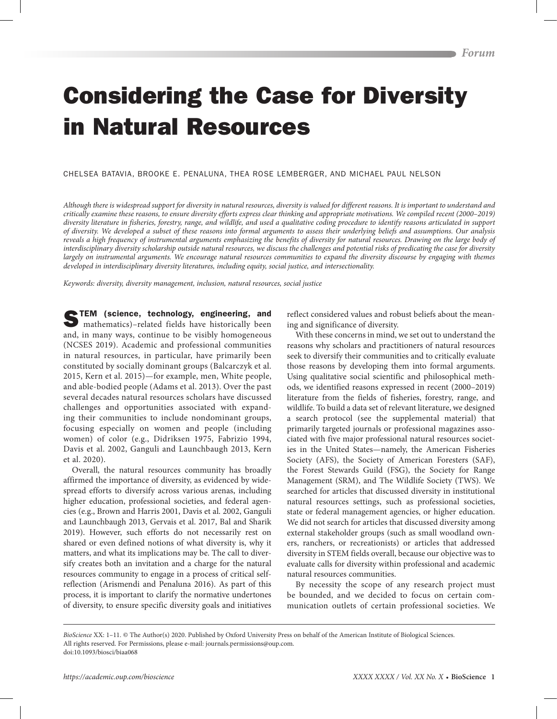# Considering the Case for Diversity in Natural Resources

## CHELSEA BATAVIA, BROOKE E. PENALUNA, THEA ROSE LEMBERGER, AND MICHAEL PAUL NELSON

*Although there is widespread support for diversity in natural resources, diversity is valued for different reasons. It is important to understand and critically examine these reasons, to ensure diversity efforts express clear thinking and appropriate motivations. We compiled recent (2000–2019) diversity literature in fisheries, forestry, range, and wildlife, and used a qualitative coding procedure to identify reasons articulated in support of diversity. We developed a subset of these reasons into formal arguments to assess their underlying beliefs and assumptions. Our analysis*  reveals a high frequency of instrumental arguments emphasizing the benefits of diversity for natural resources. Drawing on the large body of *interdisciplinary diversity scholarship outside natural resources, we discuss the challenges and potential risks of predicating the case for diversity*  largely on instrumental arguments. We encourage natural resources communities to expand the diversity discourse by engaging with themes *developed in interdisciplinary diversity literatures, including equity, social justice, and intersectionality.*

*Keywords: diversity, diversity management, inclusion, natural resources, social justice*

TEM (science, technology, engineering, and mathematics)–related fields have historically been and, in many ways, continue to be visibly homogeneous (NCSES 2019). Academic and professional communities in natural resources, in particular, have primarily been constituted by socially dominant groups (Balcarczyk et al. 2015, Kern et al. 2015)—for example, men, White people, and able-bodied people (Adams et al. 2013). Over the past several decades natural resources scholars have discussed challenges and opportunities associated with expanding their communities to include nondominant groups, focusing especially on women and people (including women) of color (e.g., Didriksen 1975, Fabrizio 1994, Davis et al. 2002, Ganguli and Launchbaugh 2013, Kern et al. 2020).

Overall, the natural resources community has broadly affirmed the importance of diversity, as evidenced by widespread efforts to diversify across various arenas, including higher education, professional societies, and federal agencies (e.g., Brown and Harris 2001, Davis et al. 2002, Ganguli and Launchbaugh 2013, Gervais et al. 2017, Bal and Sharik 2019). However, such efforts do not necessarily rest on shared or even defined notions of what diversity is, why it matters, and what its implications may be. The call to diversify creates both an invitation and a charge for the natural resources community to engage in a process of critical selfreflection (Arismendi and Penaluna 2016). As part of this process, it is important to clarify the normative undertones of diversity, to ensure specific diversity goals and initiatives

reflect considered values and robust beliefs about the meaning and significance of diversity.

With these concerns in mind, we set out to understand the reasons why scholars and practitioners of natural resources seek to diversify their communities and to critically evaluate those reasons by developing them into formal arguments. Using qualitative social scientific and philosophical methods, we identified reasons expressed in recent (2000–2019) literature from the fields of fisheries, forestry, range, and wildlife. To build a data set of relevant literature, we designed a search protocol (see the supplemental material) that primarily targeted journals or professional magazines associated with five major professional natural resources societies in the United States—namely, the American Fisheries Society (AFS), the Society of American Foresters (SAF), the Forest Stewards Guild (FSG), the Society for Range Management (SRM), and The Wildlife Society (TWS). We searched for articles that discussed diversity in institutional natural resources settings, such as professional societies, state or federal management agencies, or higher education. We did not search for articles that discussed diversity among external stakeholder groups (such as small woodland owners, ranchers, or recreationists) or articles that addressed diversity in STEM fields overall, because our objective was to evaluate calls for diversity within professional and academic natural resources communities.

By necessity the scope of any research project must be bounded, and we decided to focus on certain communication outlets of certain professional societies. We

*BioScience* XX: 1–11. © The Author(s) 2020. Published by Oxford University Press on behalf of the American Institute of Biological Sciences. All rights reserved. For Permissions, please e-mail: journals.permissions@oup.com. doi:10.1093/biosci/biaa068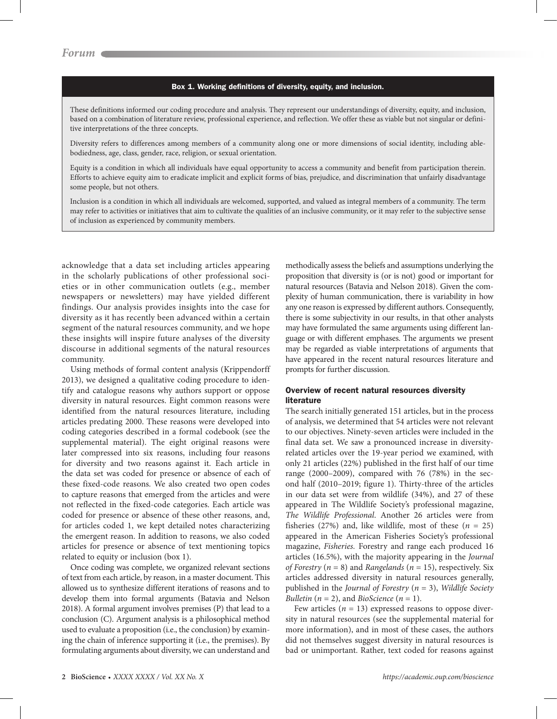#### Box 1. Working definitions of diversity, equity, and inclusion.

These definitions informed our coding procedure and analysis. They represent our understandings of diversity, equity, and inclusion, based on a combination of literature review, professional experience, and reflection. We offer these as viable but not singular or definitive interpretations of the three concepts.

Diversity refers to differences among members of a community along one or more dimensions of social identity, including ablebodiedness, age, class, gender, race, religion, or sexual orientation.

Equity is a condition in which all individuals have equal opportunity to access a community and benefit from participation therein. Efforts to achieve equity aim to eradicate implicit and explicit forms of bias, prejudice, and discrimination that unfairly disadvantage some people, but not others.

Inclusion is a condition in which all individuals are welcomed, supported, and valued as integral members of a community. The term may refer to activities or initiatives that aim to cultivate the qualities of an inclusive community, or it may refer to the subjective sense of inclusion as experienced by community members.

acknowledge that a data set including articles appearing in the scholarly publications of other professional societies or in other communication outlets (e.g., member newspapers or newsletters) may have yielded different findings. Our analysis provides insights into the case for diversity as it has recently been advanced within a certain segment of the natural resources community, and we hope these insights will inspire future analyses of the diversity discourse in additional segments of the natural resources community.

Using methods of formal content analysis (Krippendorff 2013), we designed a qualitative coding procedure to identify and catalogue reasons why authors support or oppose diversity in natural resources. Eight common reasons were identified from the natural resources literature, including articles predating 2000. These reasons were developed into coding categories described in a formal codebook (see the supplemental material). The eight original reasons were later compressed into six reasons, including four reasons for diversity and two reasons against it. Each article in the data set was coded for presence or absence of each of these fixed-code reasons. We also created two open codes to capture reasons that emerged from the articles and were not reflected in the fixed-code categories. Each article was coded for presence or absence of these other reasons, and, for articles coded 1, we kept detailed notes characterizing the emergent reason. In addition to reasons, we also coded articles for presence or absence of text mentioning topics related to equity or inclusion (box 1).

Once coding was complete, we organized relevant sections of text from each article, by reason, in a master document. This allowed us to synthesize different iterations of reasons and to develop them into formal arguments (Batavia and Nelson 2018). A formal argument involves premises (P) that lead to a conclusion (C). Argument analysis is a philosophical method used to evaluate a proposition (i.e., the conclusion) by examining the chain of inference supporting it (i.e., the premises). By formulating arguments about diversity, we can understand and methodically assess the beliefs and assumptions underlying the proposition that diversity is (or is not) good or important for natural resources (Batavia and Nelson 2018). Given the complexity of human communication, there is variability in how any one reason is expressed by different authors. Consequently, there is some subjectivity in our results, in that other analysts may have formulated the same arguments using different language or with different emphases. The arguments we present may be regarded as viable interpretations of arguments that have appeared in the recent natural resources literature and prompts for further discussion.

## Overview of recent natural resources diversity literature

The search initially generated 151 articles, but in the process of analysis, we determined that 54 articles were not relevant to our objectives. Ninety-seven articles were included in the final data set. We saw a pronounced increase in diversityrelated articles over the 19-year period we examined, with only 21 articles (22%) published in the first half of our time range (2000–2009), compared with 76 (78%) in the second half (2010–2019; figure 1). Thirty-three of the articles in our data set were from wildlife (34%), and 27 of these appeared in The Wildlife Society's professional magazine, *The Wildlife Professional*. Another 26 articles were from fisheries (27%) and, like wildlife, most of these  $(n = 25)$ appeared in the American Fisheries Society's professional magazine, *Fisheries.* Forestry and range each produced 16 articles (16.5%), with the majority appearing in the *Journal of Forestry* (*n* = 8) and *Rangelands* (*n* = 15), respectively. Six articles addressed diversity in natural resources generally, published in the *Journal of Forestry* (*n* = 3), *Wildlife Society Bulletin* ( $n = 2$ ), and *BioScience* ( $n = 1$ ).

Few articles  $(n = 13)$  expressed reasons to oppose diversity in natural resources (see the supplemental material for more information), and in most of these cases, the authors did not themselves suggest diversity in natural resources is bad or unimportant. Rather, text coded for reasons against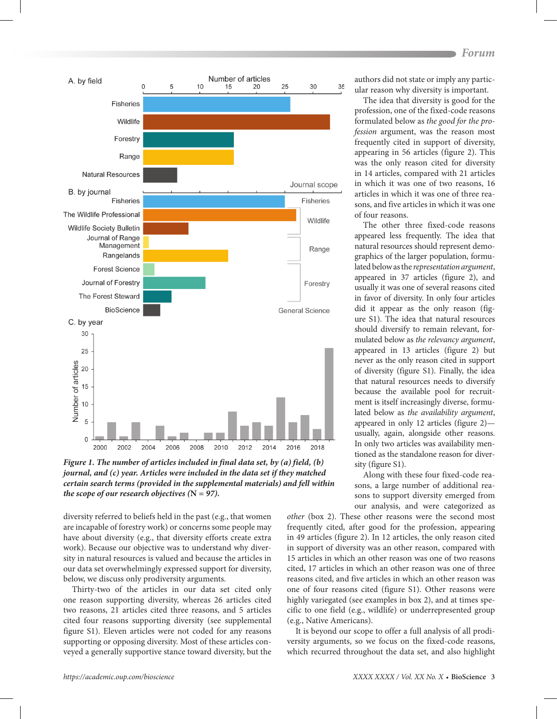

*Figure 1. The number of articles included in final data set, by (a) field, (b) journal, and (c) year. Articles were included in the data set if they matched certain search terms (provided in the supplemental materials) and fell within the scope of our research objectives*  $(N = 97)$ *.* 

diversity referred to beliefs held in the past (e.g., that women are incapable of forestry work) or concerns some people may have about diversity (e.g., that diversity efforts create extra work). Because our objective was to understand why diversity in natural resources is valued and because the articles in our data set overwhelmingly expressed support for diversity, below, we discuss only prodiversity arguments.

Thirty-two of the articles in our data set cited only one reason supporting diversity, whereas 26 articles cited two reasons, 21 articles cited three reasons, and 5 articles cited four reasons supporting diversity (see supplemental figure S1). Eleven articles were not coded for any reasons supporting or opposing diversity. Most of these articles conveyed a generally supportive stance toward diversity, but the authors did not state or imply any particular reason why diversity is important.

The idea that diversity is good for the profession, one of the fixed-code reasons formulated below as *the good for the profession* argument, was the reason most frequently cited in support of diversity, appearing in 56 articles (figure 2). This was the only reason cited for diversity in 14 articles, compared with 21 articles in which it was one of two reasons, 16 articles in which it was one of three reasons, and five articles in which it was one of four reasons.

The other three fixed-code reasons appeared less frequently. The idea that natural resources should represent demographics of the larger population, formulated below as the *representation argument*, appeared in 37 articles (figure 2), and usually it was one of several reasons cited in favor of diversity. In only four articles did it appear as the only reason (figure S1). The idea that natural resources should diversify to remain relevant, formulated below as *the relevancy argument*, appeared in 13 articles (figure 2) but never as the only reason cited in support of diversity (figure S1). Finally, the idea that natural resources needs to diversify because the available pool for recruitment is itself increasingly diverse, formulated below as *the availability argument*, appeared in only 12 articles (figure 2) usually, again, alongside other reasons. In only two articles was availability mentioned as the standalone reason for diversity (figure S1).

Along with these four fixed-code reasons, a large number of additional reasons to support diversity emerged from our analysis, and were categorized as

*other* (box 2). These other reasons were the second most frequently cited, after good for the profession, appearing in 49 articles (figure 2). In 12 articles, the only reason cited in support of diversity was an other reason, compared with 15 articles in which an other reason was one of two reasons cited, 17 articles in which an other reason was one of three reasons cited, and five articles in which an other reason was one of four reasons cited (figure S1). Other reasons were highly variegated (see examples in box 2), and at times specific to one field (e.g., wildlife) or underrepresented group (e.g., Native Americans).

It is beyond our scope to offer a full analysis of all prodiversity arguments, so we focus on the fixed-code reasons, which recurred throughout the data set, and also highlight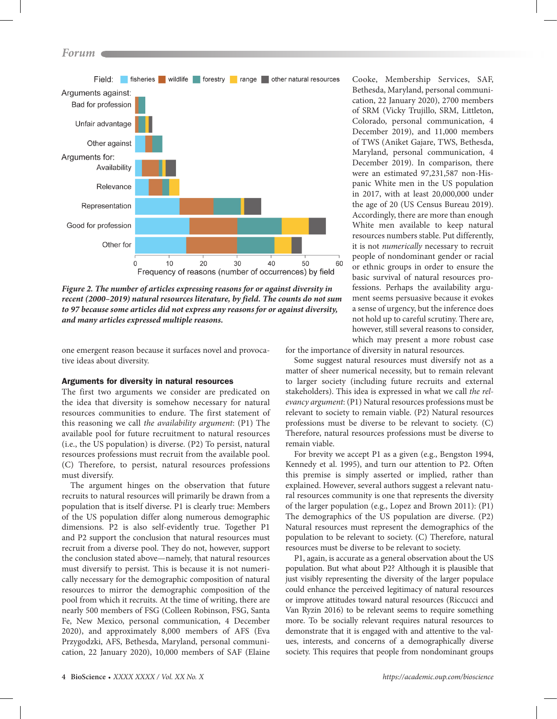

*Figure 2. The number of articles expressing reasons for or against diversity in recent (2000–2019) natural resources literature, by field. The counts do not sum to 97 because some articles did not express any reasons for or against diversity, and many articles expressed multiple reasons.*

one emergent reason because it surfaces novel and provocative ideas about diversity.

## Arguments for diversity in natural resources

The first two arguments we consider are predicated on the idea that diversity is somehow necessary for natural resources communities to endure. The first statement of this reasoning we call *the availability argument*: (P1) The available pool for future recruitment to natural resources (i.e., the US population) is diverse. (P2) To persist, natural resources professions must recruit from the available pool. (C) Therefore, to persist, natural resources professions must diversify.

The argument hinges on the observation that future recruits to natural resources will primarily be drawn from a population that is itself diverse. P1 is clearly true: Members of the US population differ along numerous demographic dimensions. P2 is also self-evidently true. Together P1 and P2 support the conclusion that natural resources must recruit from a diverse pool. They do not, however, support the conclusion stated above—namely, that natural resources must diversify to persist. This is because it is not numerically necessary for the demographic composition of natural resources to mirror the demographic composition of the pool from which it recruits. At the time of writing, there are nearly 500 members of FSG (Colleen Robinson, FSG, Santa Fe, New Mexico, personal communication, 4 December 2020), and approximately 8,000 members of AFS (Eva Przygodzki, AFS, Bethesda, Maryland, personal communication, 22 January 2020), 10,000 members of SAF (Elaine Cooke, Membership Services, SAF, Bethesda, Maryland, personal communication, 22 January 2020), 2700 members of SRM (Vicky Trujillo, SRM, Littleton, Colorado, personal communication, 4 December 2019), and 11,000 members of TWS (Aniket Gajare, TWS, Bethesda, Maryland, personal communication, 4 December 2019). In comparison, there were an estimated 97,231,587 non-Hispanic White men in the US population in 2017, with at least 20,000,000 under the age of 20 (US Census Bureau 2019). Accordingly, there are more than enough White men available to keep natural resources numbers stable. Put differently, it is not *numerically* necessary to recruit people of nondominant gender or racial or ethnic groups in order to ensure the basic survival of natural resources professions. Perhaps the availability argument seems persuasive because it evokes a sense of urgency, but the inference does not hold up to careful scrutiny. There are, however, still several reasons to consider, which may present a more robust case

for the importance of diversity in natural resources.

Some suggest natural resources must diversify not as a matter of sheer numerical necessity, but to remain relevant to larger society (including future recruits and external stakeholders). This idea is expressed in what we call *the relevancy argument*: (P1) Natural resources professions must be relevant to society to remain viable. (P2) Natural resources professions must be diverse to be relevant to society. (C) Therefore, natural resources professions must be diverse to remain viable.

For brevity we accept P1 as a given (e.g., Bengston 1994, Kennedy et al. 1995), and turn our attention to P2. Often this premise is simply asserted or implied, rather than explained. However, several authors suggest a relevant natural resources community is one that represents the diversity of the larger population (e.g., Lopez and Brown 2011): (P1) The demographics of the US population are diverse. (P2) Natural resources must represent the demographics of the population to be relevant to society. (C) Therefore, natural resources must be diverse to be relevant to society.

P1, again, is accurate as a general observation about the US population. But what about P2? Although it is plausible that just visibly representing the diversity of the larger populace could enhance the perceived legitimacy of natural resources or improve attitudes toward natural resources (Riccucci and Van Ryzin 2016) to be relevant seems to require something more. To be socially relevant requires natural resources to demonstrate that it is engaged with and attentive to the values, interests, and concerns of a demographically diverse society. This requires that people from nondominant groups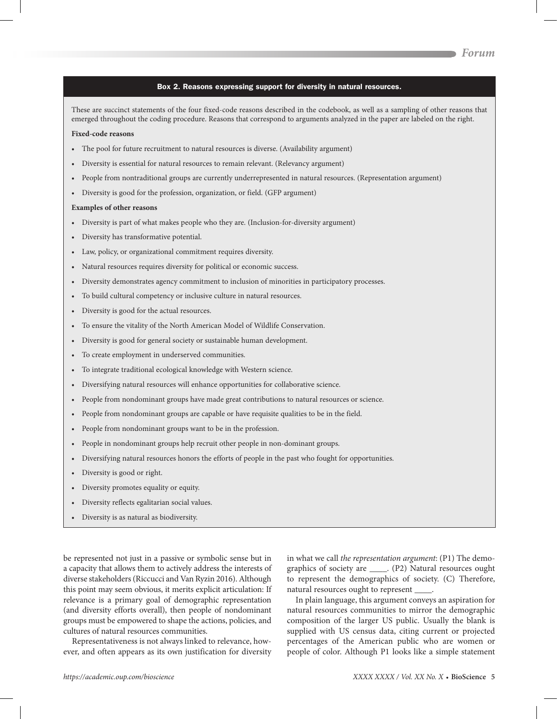#### Box 2. Reasons expressing support for diversity in natural resources.

These are succinct statements of the four fixed-code reasons described in the codebook, as well as a sampling of other reasons that emerged throughout the coding procedure. Reasons that correspond to arguments analyzed in the paper are labeled on the right.

## **Fixed-code reasons**

- • The pool for future recruitment to natural resources is diverse. (Availability argument)
- Diversity is essential for natural resources to remain relevant. (Relevancy argument)
- • People from nontraditional groups are currently underrepresented in natural resources. (Representation argument)
- • Diversity is good for the profession, organization, or field. (GFP argument)

#### **Examples of other reasons**

- • Diversity is part of what makes people who they are. (Inclusion-for-diversity argument)
- • Diversity has transformative potential.
- • Law, policy, or organizational commitment requires diversity.
- • Natural resources requires diversity for political or economic success.
- • Diversity demonstrates agency commitment to inclusion of minorities in participatory processes.
- • To build cultural competency or inclusive culture in natural resources.
- • Diversity is good for the actual resources.
- • To ensure the vitality of the North American Model of Wildlife Conservation.
- • Diversity is good for general society or sustainable human development.
- • To create employment in underserved communities.
- • To integrate traditional ecological knowledge with Western science.
- • Diversifying natural resources will enhance opportunities for collaborative science.
- • People from nondominant groups have made great contributions to natural resources or science.
- • People from nondominant groups are capable or have requisite qualities to be in the field.
- • People from nondominant groups want to be in the profession.
- • People in nondominant groups help recruit other people in non-dominant groups.
- • Diversifying natural resources honors the efforts of people in the past who fought for opportunities.
- • Diversity is good or right.
- • Diversity promotes equality or equity.
- • Diversity reflects egalitarian social values.
- Diversity is as natural as biodiversity.

be represented not just in a passive or symbolic sense but in a capacity that allows them to actively address the interests of diverse stakeholders (Riccucci and Van Ryzin 2016). Although this point may seem obvious, it merits explicit articulation: If relevance is a primary goal of demographic representation (and diversity efforts overall), then people of nondominant groups must be empowered to shape the actions, policies, and cultures of natural resources communities.

Representativeness is not always linked to relevance, however, and often appears as its own justification for diversity in what we call *the representation argument*: (P1) The demographics of society are \_\_\_\_. (P2) Natural resources ought to represent the demographics of society. (C) Therefore, natural resources ought to represent \_\_\_\_.

In plain language, this argument conveys an aspiration for natural resources communities to mirror the demographic composition of the larger US public. Usually the blank is supplied with US census data, citing current or projected percentages of the American public who are women or people of color. Although P1 looks like a simple statement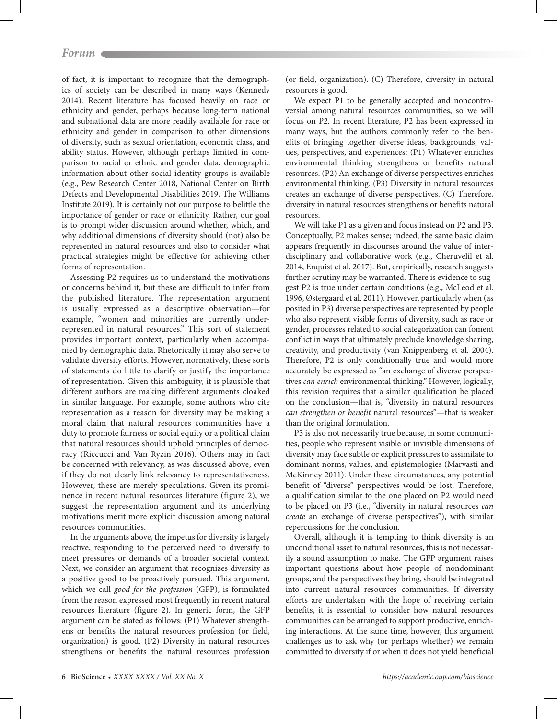of fact, it is important to recognize that the demographics of society can be described in many ways (Kennedy 2014). Recent literature has focused heavily on race or ethnicity and gender, perhaps because long-term national and subnational data are more readily available for race or ethnicity and gender in comparison to other dimensions of diversity, such as sexual orientation, economic class, and ability status. However, although perhaps limited in comparison to racial or ethnic and gender data, demographic information about other social identity groups is available (e.g., Pew Research Center 2018, National Center on Birth Defects and Developmental Disabilities 2019, The Williams Institute 2019). It is certainly not our purpose to belittle the importance of gender or race or ethnicity. Rather, our goal is to prompt wider discussion around whether, which, and why additional dimensions of diversity should (not) also be represented in natural resources and also to consider what practical strategies might be effective for achieving other forms of representation.

Assessing P2 requires us to understand the motivations or concerns behind it, but these are difficult to infer from the published literature. The representation argument is usually expressed as a descriptive observation—for example, "women and minorities are currently underrepresented in natural resources." This sort of statement provides important context, particularly when accompanied by demographic data. Rhetorically it may also serve to validate diversity efforts. However, normatively, these sorts of statements do little to clarify or justify the importance of representation. Given this ambiguity, it is plausible that different authors are making different arguments cloaked in similar language. For example, some authors who cite representation as a reason for diversity may be making a moral claim that natural resources communities have a duty to promote fairness or social equity or a political claim that natural resources should uphold principles of democracy (Riccucci and Van Ryzin 2016). Others may in fact be concerned with relevancy, as was discussed above, even if they do not clearly link relevancy to representativeness. However, these are merely speculations. Given its prominence in recent natural resources literature (figure 2), we suggest the representation argument and its underlying motivations merit more explicit discussion among natural resources communities.

In the arguments above, the impetus for diversity is largely reactive, responding to the perceived need to diversify to meet pressures or demands of a broader societal context. Next, we consider an argument that recognizes diversity as a positive good to be proactively pursued. This argument, which we call *good for the profession* (GFP), is formulated from the reason expressed most frequently in recent natural resources literature (figure 2). In generic form, the GFP argument can be stated as follows: (P1) Whatever strengthens or benefits the natural resources profession (or field, organization) is good. (P2) Diversity in natural resources strengthens or benefits the natural resources profession (or field, organization). (C) Therefore, diversity in natural resources is good.

We expect P1 to be generally accepted and noncontroversial among natural resources communities, so we will focus on P2. In recent literature, P2 has been expressed in many ways, but the authors commonly refer to the benefits of bringing together diverse ideas, backgrounds, values, perspectives, and experiences: (P1) Whatever enriches environmental thinking strengthens or benefits natural resources. (P2) An exchange of diverse perspectives enriches environmental thinking. (P3) Diversity in natural resources creates an exchange of diverse perspectives. (C) Therefore, diversity in natural resources strengthens or benefits natural resources.

We will take P1 as a given and focus instead on P2 and P3. Conceptually, P2 makes sense; indeed, the same basic claim appears frequently in discourses around the value of interdisciplinary and collaborative work (e.g., Cheruvelil et al. 2014, Enquist et al. 2017). But, empirically, research suggests further scrutiny may be warranted. There is evidence to suggest P2 is true under certain conditions (e.g., McLeod et al. 1996, Østergaard et al. 2011). However, particularly when (as posited in P3) diverse perspectives are represented by people who also represent visible forms of diversity, such as race or gender, processes related to social categorization can foment conflict in ways that ultimately preclude knowledge sharing, creativity, and productivity (van Knippenberg et al. 2004). Therefore, P2 is only conditionally true and would more accurately be expressed as "an exchange of diverse perspectives *can enrich* environmental thinking." However, logically, this revision requires that a similar qualification be placed on the conclusion—that is, "diversity in natural resources *can strengthen or benefit* natural resources"—that is weaker than the original formulation.

P3 is also not necessarily true because, in some communities, people who represent visible or invisible dimensions of diversity may face subtle or explicit pressures to assimilate to dominant norms, values, and epistemologies (Marvasti and McKinney 2011). Under these circumstances, any potential benefit of "diverse" perspectives would be lost. Therefore, a qualification similar to the one placed on P2 would need to be placed on P3 (i.e., "diversity in natural resources *can create* an exchange of diverse perspectives"), with similar repercussions for the conclusion.

Overall, although it is tempting to think diversity is an unconditional asset to natural resources, this is not necessarily a sound assumption to make. The GFP argument raises important questions about how people of nondominant groups, and the perspectives they bring, should be integrated into current natural resources communities. If diversity efforts are undertaken with the hope of receiving certain benefits, it is essential to consider how natural resources communities can be arranged to support productive, enriching interactions. At the same time, however, this argument challenges us to ask why (or perhaps whether) we remain committed to diversity if or when it does not yield beneficial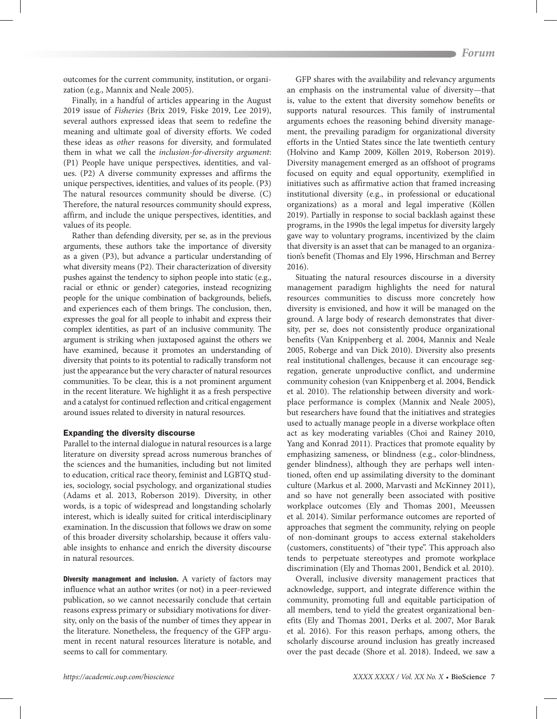outcomes for the current community, institution, or organization (e.g., Mannix and Neale 2005).

Finally, in a handful of articles appearing in the August 2019 issue of *Fisheries* (Brix 2019, Fiske 2019, Lee 2019), several authors expressed ideas that seem to redefine the meaning and ultimate goal of diversity efforts. We coded these ideas as *other* reasons for diversity, and formulated them in what we call the *inclusion-for-diversity argument*: (P1) People have unique perspectives, identities, and values. (P2) A diverse community expresses and affirms the unique perspectives, identities, and values of its people. (P3) The natural resources community should be diverse. (C) Therefore, the natural resources community should express, affirm, and include the unique perspectives, identities, and values of its people.

Rather than defending diversity, per se, as in the previous arguments, these authors take the importance of diversity as a given (P3), but advance a particular understanding of what diversity means (P2). Their characterization of diversity pushes against the tendency to siphon people into static (e.g., racial or ethnic or gender) categories, instead recognizing people for the unique combination of backgrounds, beliefs, and experiences each of them brings. The conclusion, then, expresses the goal for all people to inhabit and express their complex identities, as part of an inclusive community. The argument is striking when juxtaposed against the others we have examined, because it promotes an understanding of diversity that points to its potential to radically transform not just the appearance but the very character of natural resources communities. To be clear, this is a not prominent argument in the recent literature. We highlight it as a fresh perspective and a catalyst for continued reflection and critical engagement around issues related to diversity in natural resources.

## Expanding the diversity discourse

Parallel to the internal dialogue in natural resources is a large literature on diversity spread across numerous branches of the sciences and the humanities, including but not limited to education, critical race theory, feminist and LGBTQ studies, sociology, social psychology, and organizational studies (Adams et al. 2013, Roberson 2019). Diversity, in other words, is a topic of widespread and longstanding scholarly interest, which is ideally suited for critical interdisciplinary examination. In the discussion that follows we draw on some of this broader diversity scholarship, because it offers valuable insights to enhance and enrich the diversity discourse in natural resources.

Diversity management and inclusion. A variety of factors may influence what an author writes (or not) in a peer-reviewed publication, so we cannot necessarily conclude that certain reasons express primary or subsidiary motivations for diversity, only on the basis of the number of times they appear in the literature. Nonetheless, the frequency of the GFP argument in recent natural resources literature is notable, and seems to call for commentary.

GFP shares with the availability and relevancy arguments an emphasis on the instrumental value of diversity—that is, value to the extent that diversity somehow benefits or supports natural resources. This family of instrumental arguments echoes the reasoning behind diversity management, the prevailing paradigm for organizational diversity efforts in the Untied States since the late twentieth century (Holvino and Kamp 2009, Köllen 2019, Roberson 2019). Diversity management emerged as an offshoot of programs focused on equity and equal opportunity, exemplified in initiatives such as affirmative action that framed increasing institutional diversity (e.g., in professional or educational organizations) as a moral and legal imperative (Köllen 2019). Partially in response to social backlash against these programs, in the 1990s the legal impetus for diversity largely gave way to voluntary programs, incentivized by the claim that diversity is an asset that can be managed to an organization's benefit (Thomas and Ely 1996, Hirschman and Berrey 2016).

Situating the natural resources discourse in a diversity management paradigm highlights the need for natural resources communities to discuss more concretely how diversity is envisioned, and how it will be managed on the ground. A large body of research demonstrates that diversity, per se, does not consistently produce organizational benefits (Van Knippenberg et al. 2004, Mannix and Neale 2005, Roberge and van Dick 2010). Diversity also presents real institutional challenges, because it can encourage segregation, generate unproductive conflict, and undermine community cohesion (van Knippenberg et al. 2004, Bendick et al. 2010). The relationship between diversity and workplace performance is complex (Mannix and Neale 2005), but researchers have found that the initiatives and strategies used to actually manage people in a diverse workplace often act as key moderating variables (Choi and Rainey 2010, Yang and Konrad 2011). Practices that promote equality by emphasizing sameness, or blindness (e.g., color-blindness, gender blindness), although they are perhaps well intentioned, often end up assimilating diversity to the dominant culture (Markus et al. 2000, Marvasti and McKinney 2011), and so have not generally been associated with positive workplace outcomes (Ely and Thomas 2001, Meeussen et al. 2014). Similar performance outcomes are reported of approaches that segment the community, relying on people of non-dominant groups to access external stakeholders (customers, constituents) of "their type". This approach also tends to perpetuate stereotypes and promote workplace discrimination (Ely and Thomas 2001, Bendick et al. 2010).

Overall, inclusive diversity management practices that acknowledge, support, and integrate difference within the community, promoting full and equitable participation of all members, tend to yield the greatest organizational benefits (Ely and Thomas 2001, Derks et al. 2007, Mor Barak et al. 2016). For this reason perhaps, among others, the scholarly discourse around inclusion has greatly increased over the past decade (Shore et al. 2018). Indeed, we saw a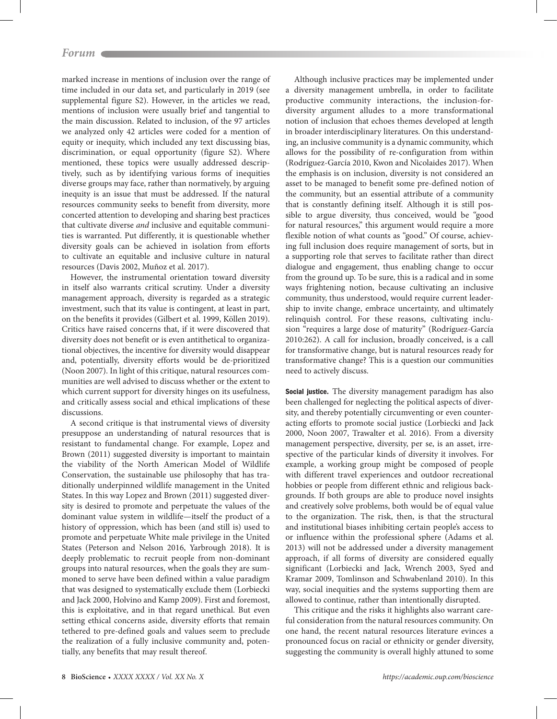marked increase in mentions of inclusion over the range of time included in our data set, and particularly in 2019 (see supplemental figure S2). However, in the articles we read, mentions of inclusion were usually brief and tangential to the main discussion. Related to inclusion, of the 97 articles we analyzed only 42 articles were coded for a mention of equity or inequity, which included any text discussing bias, discrimination, or equal opportunity (figure S2). Where mentioned, these topics were usually addressed descriptively, such as by identifying various forms of inequities diverse groups may face, rather than normatively, by arguing inequity is an issue that must be addressed. If the natural resources community seeks to benefit from diversity, more concerted attention to developing and sharing best practices that cultivate diverse *and* inclusive and equitable communities is warranted. Put differently, it is questionable whether diversity goals can be achieved in isolation from efforts to cultivate an equitable and inclusive culture in natural resources (Davis 2002, Muñoz et al. 2017).

However, the instrumental orientation toward diversity in itself also warrants critical scrutiny. Under a diversity management approach, diversity is regarded as a strategic investment, such that its value is contingent, at least in part, on the benefits it provides (Gilbert et al. 1999, Köllen 2019). Critics have raised concerns that, if it were discovered that diversity does not benefit or is even antithetical to organizational objectives, the incentive for diversity would disappear and, potentially, diversity efforts would be de-prioritized (Noon 2007). In light of this critique, natural resources communities are well advised to discuss whether or the extent to which current support for diversity hinges on its usefulness, and critically assess social and ethical implications of these discussions.

A second critique is that instrumental views of diversity presuppose an understanding of natural resources that is resistant to fundamental change. For example, Lopez and Brown (2011) suggested diversity is important to maintain the viability of the North American Model of Wildlife Conservation, the sustainable use philosophy that has traditionally underpinned wildlife management in the United States. In this way Lopez and Brown (2011) suggested diversity is desired to promote and perpetuate the values of the dominant value system in wildlife—itself the product of a history of oppression, which has been (and still is) used to promote and perpetuate White male privilege in the United States (Peterson and Nelson 2016, Yarbrough 2018). It is deeply problematic to recruit people from non-dominant groups into natural resources, when the goals they are summoned to serve have been defined within a value paradigm that was designed to systematically exclude them (Lorbiecki and Jack 2000, Holvino and Kamp 2009). First and foremost, this is exploitative, and in that regard unethical. But even setting ethical concerns aside, diversity efforts that remain tethered to pre-defined goals and values seem to preclude the realization of a fully inclusive community and, potentially, any benefits that may result thereof.

Although inclusive practices may be implemented under a diversity management umbrella, in order to facilitate productive community interactions, the inclusion-fordiversity argument alludes to a more transformational notion of inclusion that echoes themes developed at length in broader interdisciplinary literatures. On this understanding, an inclusive community is a dynamic community, which allows for the possibility of re-configuration from within (Rodríguez-García 2010, Kwon and Nicolaides 2017). When the emphasis is on inclusion, diversity is not considered an asset to be managed to benefit some pre-defined notion of the community, but an essential attribute of a community that is constantly defining itself. Although it is still possible to argue diversity, thus conceived, would be "good for natural resources," this argument would require a more flexible notion of what counts as "good." Of course, achieving full inclusion does require management of sorts, but in a supporting role that serves to facilitate rather than direct dialogue and engagement, thus enabling change to occur from the ground up. To be sure, this is a radical and in some ways frightening notion, because cultivating an inclusive community, thus understood, would require current leadership to invite change, embrace uncertainty, and ultimately relinquish control. For these reasons, cultivating inclusion "requires a large dose of maturity" (Rodríguez-García 2010:262). A call for inclusion, broadly conceived, is a call for transformative change, but is natural resources ready for transformative change? This is a question our communities need to actively discuss.

Social justice. The diversity management paradigm has also been challenged for neglecting the political aspects of diversity, and thereby potentially circumventing or even counteracting efforts to promote social justice (Lorbiecki and Jack 2000, Noon 2007, Trawalter et al. 2016). From a diversity management perspective, diversity, per se, is an asset, irrespective of the particular kinds of diversity it involves. For example, a working group might be composed of people with different travel experiences and outdoor recreational hobbies or people from different ethnic and religious backgrounds. If both groups are able to produce novel insights and creatively solve problems, both would be of equal value to the organization. The risk, then, is that the structural and institutional biases inhibiting certain people's access to or influence within the professional sphere (Adams et al. 2013) will not be addressed under a diversity management approach, if all forms of diversity are considered equally significant (Lorbiecki and Jack, Wrench 2003, Syed and Kramar 2009, Tomlinson and Schwabenland 2010). In this way, social inequities and the systems supporting them are allowed to continue, rather than intentionally disrupted.

This critique and the risks it highlights also warrant careful consideration from the natural resources community. On one hand, the recent natural resources literature evinces a pronounced focus on racial or ethnicity or gender diversity, suggesting the community is overall highly attuned to some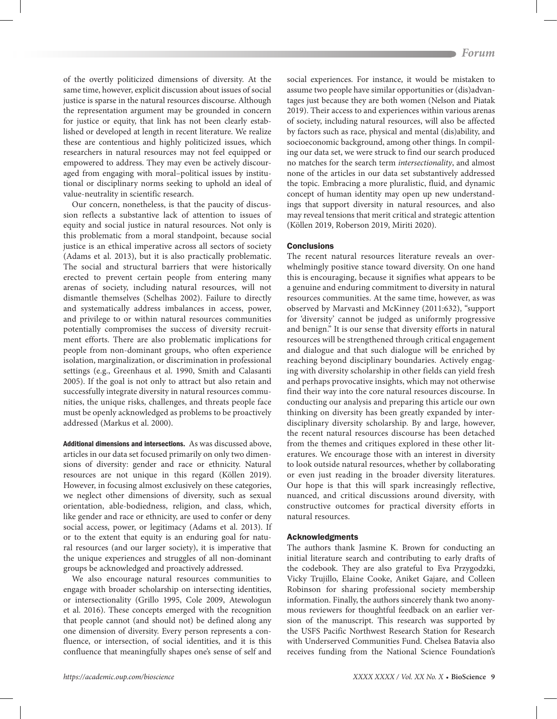of the overtly politicized dimensions of diversity. At the same time, however, explicit discussion about issues of social justice is sparse in the natural resources discourse. Although the representation argument may be grounded in concern for justice or equity, that link has not been clearly established or developed at length in recent literature. We realize these are contentious and highly politicized issues, which researchers in natural resources may not feel equipped or empowered to address. They may even be actively discouraged from engaging with moral–political issues by institutional or disciplinary norms seeking to uphold an ideal of value-neutrality in scientific research.

Our concern, nonetheless, is that the paucity of discussion reflects a substantive lack of attention to issues of equity and social justice in natural resources. Not only is this problematic from a moral standpoint, because social justice is an ethical imperative across all sectors of society (Adams et al. 2013), but it is also practically problematic. The social and structural barriers that were historically erected to prevent certain people from entering many arenas of society, including natural resources, will not dismantle themselves (Schelhas 2002). Failure to directly and systematically address imbalances in access, power, and privilege to or within natural resources communities potentially compromises the success of diversity recruitment efforts. There are also problematic implications for people from non-dominant groups, who often experience isolation, marginalization, or discrimination in professional settings (e.g., Greenhaus et al. 1990, Smith and Calasanti 2005). If the goal is not only to attract but also retain and successfully integrate diversity in natural resources communities, the unique risks, challenges, and threats people face must be openly acknowledged as problems to be proactively addressed (Markus et al. 2000).

Additional dimensions and intersections. As was discussed above, articles in our data set focused primarily on only two dimensions of diversity: gender and race or ethnicity. Natural resources are not unique in this regard (Köllen 2019). However, in focusing almost exclusively on these categories, we neglect other dimensions of diversity, such as sexual orientation, able-bodiedness, religion, and class, which, like gender and race or ethnicity, are used to confer or deny social access, power, or legitimacy (Adams et al. 2013). If or to the extent that equity is an enduring goal for natural resources (and our larger society), it is imperative that the unique experiences and struggles of all non-dominant groups be acknowledged and proactively addressed.

We also encourage natural resources communities to engage with broader scholarship on intersecting identities, or intersectionality (Grillo 1995, Cole 2009, Atewologun et al. 2016). These concepts emerged with the recognition that people cannot (and should not) be defined along any one dimension of diversity. Every person represents a confluence, or intersection, of social identities, and it is this confluence that meaningfully shapes one's sense of self and social experiences. For instance, it would be mistaken to assume two people have similar opportunities or (dis)advantages just because they are both women (Nelson and Piatak 2019). Their access to and experiences within various arenas of society, including natural resources, will also be affected by factors such as race, physical and mental (dis)ability, and socioeconomic background, among other things. In compiling our data set, we were struck to find our search produced no matches for the search term *intersectionality*, and almost none of the articles in our data set substantively addressed the topic. Embracing a more pluralistic, fluid, and dynamic concept of human identity may open up new understandings that support diversity in natural resources, and also may reveal tensions that merit critical and strategic attention (Köllen 2019, Roberson 2019, Miriti 2020).

### **Conclusions**

The recent natural resources literature reveals an overwhelmingly positive stance toward diversity. On one hand this is encouraging, because it signifies what appears to be a genuine and enduring commitment to diversity in natural resources communities. At the same time, however, as was observed by Marvasti and McKinney (2011:632), "support for 'diversity' cannot be judged as uniformly progressive and benign." It is our sense that diversity efforts in natural resources will be strengthened through critical engagement and dialogue and that such dialogue will be enriched by reaching beyond disciplinary boundaries. Actively engaging with diversity scholarship in other fields can yield fresh and perhaps provocative insights, which may not otherwise find their way into the core natural resources discourse. In conducting our analysis and preparing this article our own thinking on diversity has been greatly expanded by interdisciplinary diversity scholarship. By and large, however, the recent natural resources discourse has been detached from the themes and critiques explored in these other literatures. We encourage those with an interest in diversity to look outside natural resources, whether by collaborating or even just reading in the broader diversity literatures. Our hope is that this will spark increasingly reflective, nuanced, and critical discussions around diversity, with constructive outcomes for practical diversity efforts in natural resources.

#### Acknowledgments

The authors thank Jasmine K. Brown for conducting an initial literature search and contributing to early drafts of the codebook. They are also grateful to Eva Przygodzki, Vicky Trujillo, Elaine Cooke, Aniket Gajare, and Colleen Robinson for sharing professional society membership information. Finally, the authors sincerely thank two anonymous reviewers for thoughtful feedback on an earlier version of the manuscript. This research was supported by the USFS Pacific Northwest Research Station for Research with Underserved Communities Fund. Chelsea Batavia also receives funding from the National Science Foundation's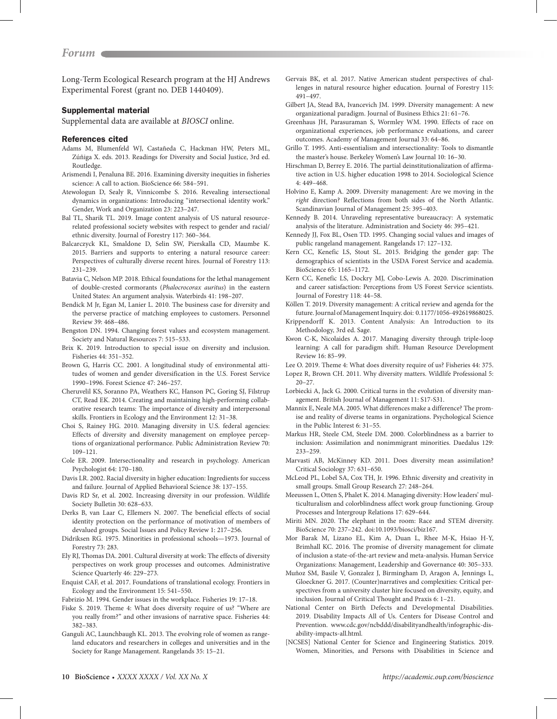Long-Term Ecological Research program at the HJ Andrews Experimental Forest (grant no. DEB 1440409).

## Supplemental material

Supplemental data are available at *[BIOSCI](https://academic.oup.com/bioscience/article-lookup/doi/10.1093/biosci/biaa068#supplementary-data)* online.

#### References cited

- Adams M, Blumenfeld WJ, Castañeda C, Hackman HW, Peters ML, Zúñiga X. eds. 2013. Readings for Diversity and Social Justice, 3rd ed. Routledge.
- Arismendi I, Penaluna BE. 2016. Examining diversity inequities in fisheries science: A call to action. BioScience 66: 584–591.
- Atewologun D, Sealy R, Vinnicombe S. 2016. Revealing intersectional dynamics in organizations: Introducing "intersectional identity work." Gender, Work and Organization 23: 223–247.
- Bal TL, Sharik TL. 2019. Image content analysis of US natural resourcerelated professional society websites with respect to gender and racial/ ethnic diversity. Journal of Forestry 117: 360–364.
- Balcarczyck KL, Smaldone D, Selin SW, Pierskalla CD, Maumbe K. 2015. Barriers and supports to entering a natural resource career: Perspectives of culturally diverse recent hires. Journal of Forestry 113: 231–239.
- Batavia C, Nelson MP. 2018. Ethical foundations for the lethal management of double-crested cormorants (*Phalocrocorax auritus*) in the eastern United States: An argument analysis. Waterbirds 41: 198–207.
- Bendick M Jr, Egan M, Lanier L. 2010. The business case for diversity and the perverse practice of matching employees to customers. Personnel Review 39: 468–486.
- Bengston DN. 1994. Changing forest values and ecosystem management. Society and Natural Resources 7: 515–533.
- Brix K. 2019. Introduction to special issue on diversity and inclusion. Fisheries 44: 351–352.
- Brown G, Harris CC. 2001. A longitudinal study of environmental attitudes of women and gender diversification in the U.S. Forest Service 1990–1996. Forest Science 47: 246–257.
- Cheruvelil KS, Soranno PA, Weathers KC, Hanson PC, Goring SJ, Filstrup CT, Read EK. 2014. Creating and maintaining high-performing collaborative research teams: The importance of diversity and interpersonal skills. Frontiers in Ecology and the Environment 12: 31–38.
- Choi S, Rainey HG. 2010. Managing diversity in U.S. federal agencies: Effects of diversity and diversity management on employee perceptions of organizational performance. Public Administration Review 70: 109–121.
- Cole ER. 2009. Intersectionality and research in psychology. American Psychologist 64: 170–180.
- Davis LR. 2002. Racial diversity in higher education: Ingredients for success and failure. Journal of Applied Behavioral Science 38: 137–155.
- Davis RD Sr, et al. 2002. Increasing diversity in our profession. Wildlife Society Bulletin 30: 628–633.
- Derks B, van Laar C, Ellemers N. 2007. The beneficial effects of social identity protection on the performance of motivation of members of devalued groups. Social Issues and Policy Review 1: 217–256.
- Didriksen RG. 1975. Minorities in professional schools—1973. Journal of Forestry 73: 283.
- Ely RJ, Thomas DA. 2001. Cultural diversity at work: The effects of diversity perspectives on work group processes and outcomes. Administrative Science Quarterly 46: 229–273.
- Enquist CAF, et al. 2017. Foundations of translational ecology. Frontiers in Ecology and the Environment 15: 541–550.

Fabrizio M. 1994. Gender issues in the workplace. Fisheries 19: 17–18.

- Fiske S. 2019. Theme 4: What does diversity require of us? "Where are you really from?" and other invasions of narrative space. Fisheries 44: 382–383.
- Ganguli AC, Launchbaugh KL. 2013. The evolving role of women as rangeland educators and researchers in colleges and universities and in the Society for Range Management. Rangelands 35: 15–21.
- Gervais BK, et al. 2017. Native American student perspectives of challenges in natural resource higher education. Journal of Forestry 115: 491–497.
- Gilbert JA, Stead BA, Ivancevich JM. 1999. Diversity management: A new organizational paradigm. Journal of Business Ethics 21: 61–76.
- Greenhaus JH, Parasuraman S, Wormley WM. 1990. Effects of race on organizational experiences, job performance evaluations, and career outcomes. Academy of Management Journal 33: 64–86.
- Grillo T. 1995. Anti-essentialism and intersectionality: Tools to dismantle the master's house. Berkeley Women's Law Journal 10: 16–30.
- Hirschman D, Berrey E. 2016. The partial deinstitutionalization of affirmative action in U.S. higher education 1998 to 2014. Sociological Science 4: 449–468.
- Holvino E, Kamp A. 2009. Diversity management: Are we moving in the *right* direction? Reflections from both sides of the North Atlantic. Scandinavian Journal of Management 25: 395–403.
- Kennedy B. 2014. Unraveling representative bureaucracy: A systematic analysis of the literature. Administration and Society 46: 395–421.
- Kennedy JJ, Fox BL, Osen TD. 1995. Changing social values and images of public rangeland management. Rangelands 17: 127–132.
- Kern CC, Kenefic LS, Stout SL. 2015. Bridging the gender gap: The demographics of scientists in the USDA Forest Service and academia. BioScience 65: 1165–1172.
- Kern CC, Kenefic LS, Dockry MJ, Cobo-Lewis A. 2020. Discrimination and career satisfaction: Perceptions from US Forest Service scientists. Journal of Forestry 118: 44–58.

Köllen T. 2019. Diversity management: A critical review and agenda for the future. Journal of Management Inquiry. doi: 0.1177/1056-492619868025.

- Krippendorff K. 2013. Content Analysis: An Introduction to its Methodology, 3rd ed. Sage.
- Kwon C-K, Nicolaides A. 2017. Managing diversity through triple-loop learning: A call for paradigm shift. Human Resource Development Review 16: 85–99.
- Lee O. 2019. Theme 4: What does diversity require of us? Fisheries 44: 375. Lopez R, Brown CH. 2011. Why diversity matters. Wildlife Professional 5:
- 20–27.
- Lorbiecki A, Jack G. 2000. Critical turns in the evolution of diversity management. British Journal of Management 11: S17-S31.
- Mannix E, Neale MA. 2005. What differences make a difference? The promise and reality of diverse teams in organizations. Psychological Science in the Public Interest 6: 31–55.
- Markus HR, Steele CM, Steele DM. 2000. Colorblindness as a barrier to inclusion: Assimilation and nonimmigrant minorities. Daedalus 129: 233–259.
- Marvasti AB, McKinney KD. 2011. Does diversity mean assimilation? Critical Sociology 37: 631–650.
- McLeod PL, Lobel SA, Cox TH, Jr. 1996. Ethnic diversity and creativity in small groups. Small Group Research 27: 248–264.
- Meeussen L, Otten S, Phalet K. 2014. Managing diversity: How leaders' multiculturalism and colorblindness affect work group functioning. Group Processes and Intergroup Relations 17: 629–644.
- Miriti MN. 2020. The elephant in the room: Race and STEM diversity. BioScience 70: 237–242. doi:10.1093/biosci/biz167.
- Mor Barak M, Lizano EL, Kim A, Duan L, Rhee M-K, Hsiao H-Y, Brimhall KC. 2016. The promise of diversity management for climate of inclusion a state-of-the-art review and meta-analysis. Human Service Organizations: Management, Leadership and Governance 40: 305–333.
- Muñoz SM, Basile V, Gonzalez J, Birmingham D, Aragon A, Jennings L, Gloeckner G. 2017. (Counter)narratives and complexities: Critical perspectives from a university cluster hire focused on diversity, equity, and inclusion. Journal of Critical Thought and Praxis 6: 1–21.
- National Center on Birth Defects and Developmental Disabilities. 2019. Disability Impacts All of Us. Centers for Disease Control and Prevention. www.cdc.gov/ncbddd/disabilityandhealth/infographic-disability-impacts-all.html.
- [NCSES] National Center for Science and Engineering Statistics. 2019. Women, Minorities, and Persons with Disabilities in Science and